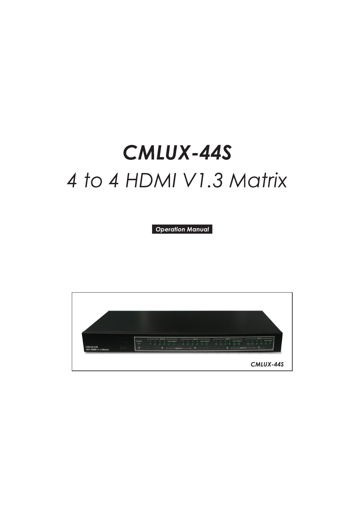# **CMLUX-44S** 4 to 4 HDMI V1.3 Matrix

**Operation Manual** 

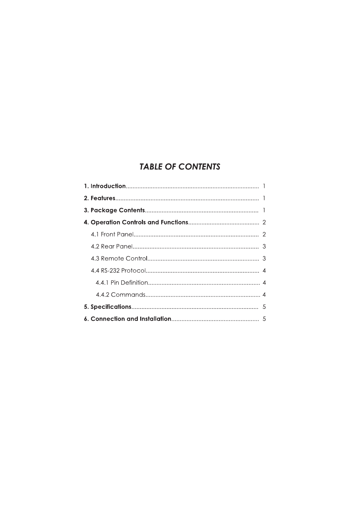# **TABLE OF CONTENTS**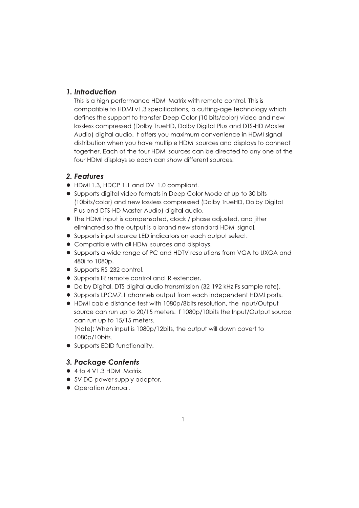## 1. Introduction

This is a high performance HDMI Matrix with remote control. This is compatible to HDMI v1.3 specifications, a cutting-age technology which defines the support to transfer Deep Color (10 bits/color) video and new lossless compressed (Dolby TrueHD, Dolby Digital Plus and DTS-HD Master Audio) digital audio. It offers you maximum convenience in HDMI signal distribution when you have multiple HDMI sources and displays to connect together. Each of the four HDMI sources can be directed to any one of the four HDMI displays so each can show different sources.

## 2. Features

- HDMI 1.3, HDCP 1.1 and DVI 1.0 compliant.
- Supports digital video formats in Deep Color Mode at up to 30 bits (10bits/color) and new lossless compressed (Dolby TrueHD, Dolby Digital Plus and DTS-HD Master Audio) digital audio.
- The HDMI input is compensated, clock / phase adjusted, and jitter eliminated so the output is a brand new standard HDMI signal.
- Supports input source LED indicators on each output select.
- Compatible with all HDMI sources and displays.
- Supports a wide range of PC and HDTV resolutions from VGA to UXGA and 480i to 1080p.
- Supports RS-232 control.
- Supports IR remote control and IR extender.
- Dolby Digital, DTS digital audio transmission (32-192 kHz Fs sample rate).
- Supports LPCM7.1 channels output from each independent HDMI ports.
- HDMI cable distance test with 1080p/8bits resolution, the Input/Output source can run up to 20/15 meters. If 1080p/10bits the Input/Output source can run up to 15/15 meters.

[Note]: When input is 1080p/12bits, the output will down covert to 1080p/10bits.

• Supports EDID functionality.

## **3. Package Contents**

- $\bullet$  4 to 4 V1.3 HDMI Matrix.
- 5V DC power supply adaptor.
- Operation Manual.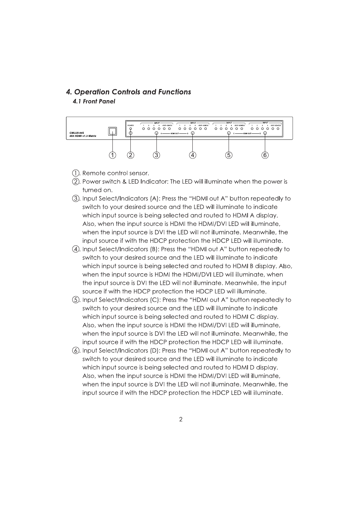#### **4. Operation Controls and Functions** 4.1 Front Panel



- (1). Remote control sensor.
- 2. Power switch & LED Indicator: The LED will illuminate when the power is turned on.
- 3). Input Select/Indicators (A): Press the "HDMI out A" button repeatedly to switch to your desired source and the LED will illuminate to indicate which input source is being selected and routed to HDMI A display. Also, when the input source is HDMI the HDMI/DVI LED will illuminate, when the input source is DVI the LED will not illuminate. Meanwhile, the input source if with the HDCP protection the HDCP LED will illuminate.
- (4). Input Select/Indicators (B): Press the "HDMI out A" button repeatedly to switch to your desired source and the LED will illuminate to indicate which input source is being selected and routed to HDMI B display. Also, when the input source is HDMI the HDMI/DVI LED will illuminate, when the input source is DVI the LED will not illuminate. Meanwhile, the input source if with the HDCP protection the HDCP LED will illuminate.
- (5). Input Select/Indicators (C): Press the "HDMI out A" button repeatedly to switch to your desired source and the LED will illuminate to indicate which input source is being selected and routed to HDMIC display. Also, when the input source is HDMI the HDMI/DVI LED will illuminate, when the input source is DVI the LED will not illuminate. Meanwhile, the input source if with the HDCP protection the HDCP LED will illuminate.
- (6). Input Select/Indicators (D): Press the "HDMI out A" button repeatedly to switch to your desired source and the LED will illuminate to indicate which input source is being selected and routed to HDMI D display. Also, when the input source is HDMI the HDMI/DVI LED will illuminate, when the input source is DVI the LED will not illuminate. Meanwhile, the input source if with the HDCP protection the HDCP LED will illuminate.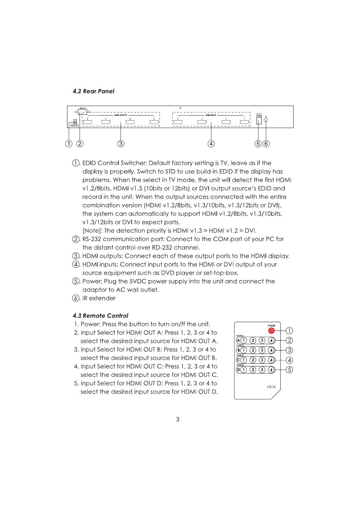#### **4.2 Rear Panel**



(1). EDID Control Switcher: Default factory setting is TV, leave as if the display is properly. Switch to STD to use build-in EDID if the display has problems. When the select in TV mode, the unit will detect the first HDMI v1.2/8bits, HDMI v1.3 (10bits or 12bits) or DVI output source's EDID and record in the unit. When the output sources connected with the entire combination version (HDMI v1.2/8bits, v1.3/10bits, v1.3/12bits or DVI), the system can automatically to support HDMI v1.2/8bits, v1.3/10bits, v1.3/12bits or DVI to expect ports.

[Note]: The detection priority is HDMI  $v1.3$  > HDMI  $v1.2$  > DVI.

- (2). RS-232 communication port: Connect to the COM port of your PC for the distant control over RD-232 channel.
- 3). HDMI outputs: Connect each of these output ports to the HDMI display.
- 4). HDMI inputs: Connect input ports to the HDMI or DVI output of your source equipment such as DVD player or set-top-box.
- (5). Power: Plug the 5VDC power supply into the unit and connect the adaptor to AC wall outlet.
- (6). IR extender

#### **4.3 Remote Control**

- 1. Power: Press the button to turn on/ff the unit.
- 2. Input Select for HDMI OUT A: Press 1, 2, 3 or 4 to select the desired input source for HDMI OUT A.
- 3. Input Select for HDMI OUT B: Press 1, 2, 3 or 4 to select the desired input source for HDMI OUT B.
- 4. Input Select for HDMI OUT C: Press 1, 2, 3 or 4 to select the desired input source for HDMI OUT C.
- 5. Input Select for HDMI OUT D: Press 1, 2, 3 or 4 to select the desired input source for HDMI OUT D.

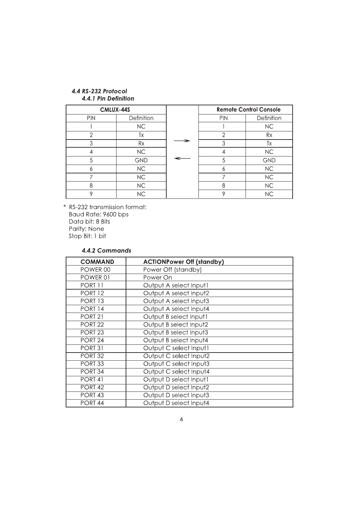#### 4.4 RS-232 Protocol 4.4.1 Pin Definition

| CMLUX-44S    |                 |  |
|--------------|-----------------|--|
| <b>PIN</b>   | Definition      |  |
|              | NC              |  |
| $\mathbf{2}$ | Tx              |  |
| 3            | Rx              |  |
|              | NC              |  |
| 5            | <b>GND</b>      |  |
| K            | <b>NC</b>       |  |
|              | NC              |  |
| 8            | NC              |  |
| ∩            | $\overline{NC}$ |  |

| <b>Remote Control Console</b> |            |  |
|-------------------------------|------------|--|
| PIN                           | Definition |  |
|                               | <b>NC</b>  |  |
| $\mathbf{2}$                  | Rx         |  |
| 3                             | Tx         |  |
| 4                             | <b>NC</b>  |  |
| 5                             | <b>GND</b> |  |
| 6                             | NC         |  |
| 7                             | <b>NC</b>  |  |
| 8                             | <b>NC</b>  |  |
|                               | <b>NC</b>  |  |

\* RS-232 transmission format: Baud Rate: 9600 bps Data bit: 8 Bits Parity: None Stop Bit: 1 bit

4.4.2 Commands

| <b>COMMAND</b>     | <b>ACTIONPower Off (standby)</b> |
|--------------------|----------------------------------|
| POWER 00           | Power Off (standby)              |
| POWER 01           | Power On                         |
| PORT 11            | Output A select Input1           |
| <b>PORT 12</b>     | Output A select Input2           |
| <b>PORT 13</b>     | Output A select Input3           |
| <b>PORT 14</b>     | Output A select Input4           |
| <b>PORT 21</b>     | Output B select Input1           |
| <b>PORT 22</b>     | Output B select Input2           |
| <b>PORT 23</b>     | Output B select Input3           |
| PORT <sub>24</sub> | Output B select Input4           |
| <b>PORT 31</b>     | Output C select Input1           |
| <b>PORT 32</b>     | Output C select Input2           |
| PORT <sub>33</sub> | Output C select Input3           |
| PORT <sub>34</sub> | Output C select Input4           |
| PORT <sub>41</sub> | Output D select Input1           |
| <b>PORT 42</b>     | Output D select Input2           |
| PORT <sub>43</sub> | Output D select Input3           |
| PORT <sub>44</sub> | Output D select Input4           |

⇒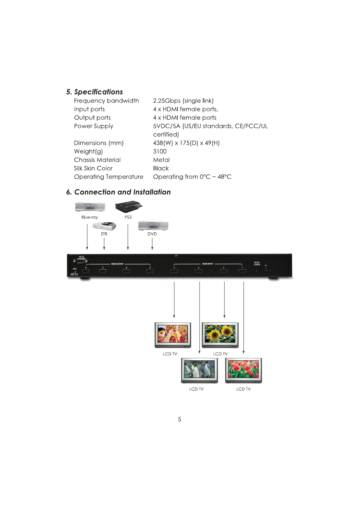# 5. Specifications

| Frequency bandwidth     | 2.25Gbps (single link)                         |
|-------------------------|------------------------------------------------|
| Input ports             | 4 x HDMI female ports,                         |
| Output ports            | 4 x HDMI female ports                          |
| Power Supply            | 5VDC/5A (US/EU standards, CE/FCC/UL            |
|                         | certified)                                     |
| Dimensions (mm)         | 438(W) x 175(D) x 49(H)                        |
| Weight(g)               | 3100                                           |
| <b>Chassis Material</b> | Metal                                          |
| Silk Skin Color         | Black                                          |
| Operating Temperature   | Operating from $0^{\circ}$ C ~ 48 $^{\circ}$ C |

# **6. Connection and Installation**